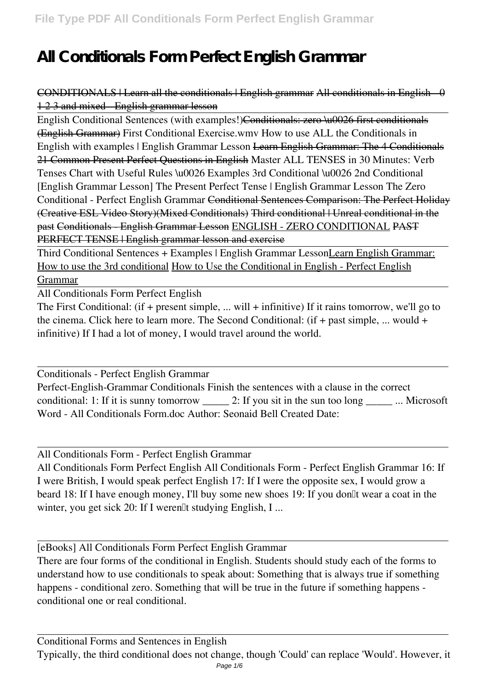# **All Conditionals Form Perfect English Grammar**

### CONDITIONALS | Learn all the conditionals | English grammar All conditionals in English - 0 1 2 3 and mixed - English grammar lesson

English Conditional Sentences (with examples!)<del>Conditionals: zero \u0026 first conditionals</del> (English Grammar) *First Conditional Exercise.wmv* How to use ALL the Conditionals in English with examples | English Grammar Lesson Learn English Grammar: The 4 Conditionals 21 Common Present Perfect Questions in English **Master ALL TENSES in 30 Minutes: Verb Tenses Chart with Useful Rules \u0026 Examples 3rd Conditional \u0026 2nd Conditional [English Grammar Lesson]** *The Present Perfect Tense | English Grammar Lesson The Zero Conditional - Perfect English Grammar* Conditional Sentences Comparison: The Perfect Holiday (Creative ESL Video Story)(Mixed Conditionals) Third conditional | Unreal conditional in the past Conditionals - English Grammar Lesson ENGLISH - ZERO CONDITIONAL PAST PERFECT TENSE | English grammar lesson and exercise

Third Conditional Sentences + Examples | English Grammar LessonLearn English Grammar: How to use the 3rd conditional How to Use the Conditional in English - Perfect English Grammar

All Conditionals Form Perfect English

The First Conditional: (if + present simple, ... will + infinitive) If it rains tomorrow, we'll go to the cinema. Click here to learn more. The Second Conditional: (if + past simple, ... would + infinitive) If I had a lot of money, I would travel around the world.

Conditionals - Perfect English Grammar

Perfect-English-Grammar Conditionals Finish the sentences with a clause in the correct conditional: 1: If it is sunny tomorrow 2: If you sit in the sun too long ... Microsoft Word - All Conditionals Form.doc Author: Seonaid Bell Created Date:

All Conditionals Form - Perfect English Grammar

All Conditionals Form Perfect English All Conditionals Form - Perfect English Grammar 16: If I were British, I would speak perfect English 17: If I were the opposite sex, I would grow a beard 18: If I have enough money, I'll buy some new shoes 19: If you don<sup>th</sup> wear a coat in the winter, you get sick 20: If I weren<sup>[]</sup>t studying English, I ...

[eBooks] All Conditionals Form Perfect English Grammar

There are four forms of the conditional in English. Students should study each of the forms to understand how to use conditionals to speak about: Something that is always true if something happens - conditional zero. Something that will be true in the future if something happens conditional one or real conditional.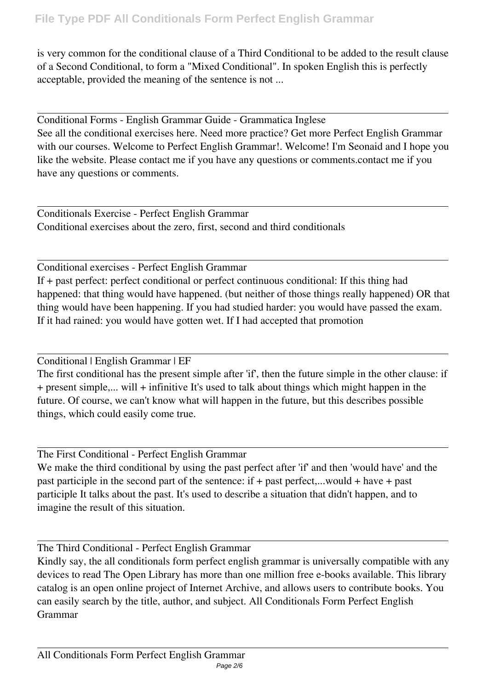is very common for the conditional clause of a Third Conditional to be added to the result clause of a Second Conditional, to form a "Mixed Conditional". In spoken English this is perfectly acceptable, provided the meaning of the sentence is not ...

Conditional Forms - English Grammar Guide - Grammatica Inglese See all the conditional exercises here. Need more practice? Get more Perfect English Grammar with our courses. Welcome to Perfect English Grammar!. Welcome! I'm Seonaid and I hope you like the website. Please contact me if you have any questions or comments.contact me if you have any questions or comments.

Conditionals Exercise - Perfect English Grammar Conditional exercises about the zero, first, second and third conditionals

Conditional exercises - Perfect English Grammar If + past perfect: perfect conditional or perfect continuous conditional: If this thing had happened: that thing would have happened. (but neither of those things really happened) OR that thing would have been happening. If you had studied harder: you would have passed the exam. If it had rained: you would have gotten wet. If I had accepted that promotion

Conditional | English Grammar | EF

The first conditional has the present simple after 'if', then the future simple in the other clause: if + present simple,... will + infinitive It's used to talk about things which might happen in the future. Of course, we can't know what will happen in the future, but this describes possible things, which could easily come true.

The First Conditional - Perfect English Grammar

We make the third conditional by using the past perfect after 'if' and then 'would have' and the past participle in the second part of the sentence: if + past perfect,...would + have + past participle It talks about the past. It's used to describe a situation that didn't happen, and to imagine the result of this situation.

The Third Conditional - Perfect English Grammar

Kindly say, the all conditionals form perfect english grammar is universally compatible with any devices to read The Open Library has more than one million free e-books available. This library catalog is an open online project of Internet Archive, and allows users to contribute books. You can easily search by the title, author, and subject. All Conditionals Form Perfect English Grammar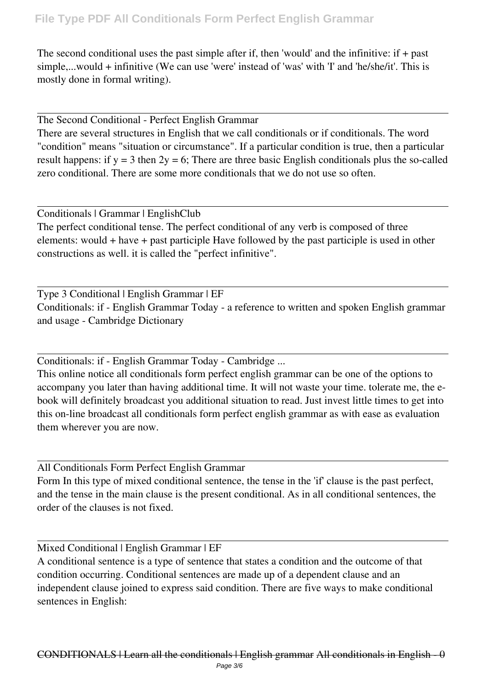## **File Type PDF All Conditionals Form Perfect English Grammar**

The second conditional uses the past simple after if, then 'would' and the infinitive: if + past simple,...would + infinitive (We can use 'were' instead of 'was' with 'I' and 'he/she/it'. This is mostly done in formal writing).

The Second Conditional - Perfect English Grammar

There are several structures in English that we call conditionals or if conditionals. The word "condition" means "situation or circumstance". If a particular condition is true, then a particular result happens: if  $y = 3$  then  $2y = 6$ ; There are three basic English conditionals plus the so-called zero conditional. There are some more conditionals that we do not use so often.

Conditionals | Grammar | EnglishClub

The perfect conditional tense. The perfect conditional of any verb is composed of three elements: would + have + past participle Have followed by the past participle is used in other constructions as well. it is called the "perfect infinitive".

Type 3 Conditional | English Grammar | EF Conditionals: if - English Grammar Today - a reference to written and spoken English grammar and usage - Cambridge Dictionary

Conditionals: if - English Grammar Today - Cambridge ...

This online notice all conditionals form perfect english grammar can be one of the options to accompany you later than having additional time. It will not waste your time. tolerate me, the ebook will definitely broadcast you additional situation to read. Just invest little times to get into this on-line broadcast all conditionals form perfect english grammar as with ease as evaluation them wherever you are now.

All Conditionals Form Perfect English Grammar

Form In this type of mixed conditional sentence, the tense in the 'if' clause is the past perfect, and the tense in the main clause is the present conditional. As in all conditional sentences, the order of the clauses is not fixed.

Mixed Conditional | English Grammar | EF

A conditional sentence is a type of sentence that states a condition and the outcome of that condition occurring. Conditional sentences are made up of a dependent clause and an independent clause joined to express said condition. There are five ways to make conditional sentences in English: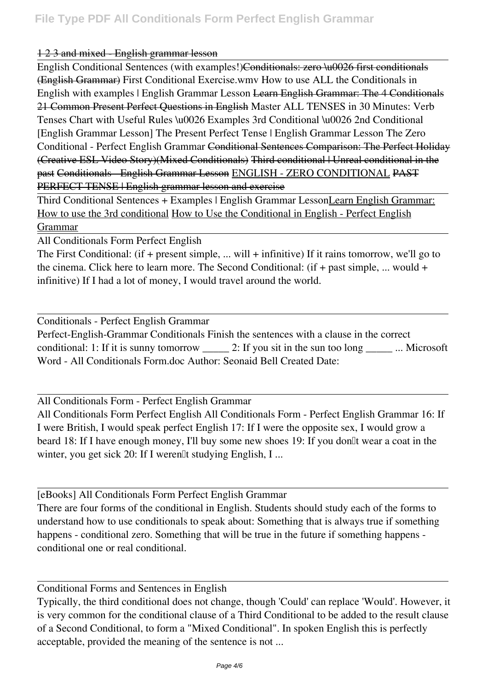#### 1 2 3 and mixed English grammar lesson

English Conditional Sentences (with examples!)<del>Conditionals: zero \u0026 first conditionals</del> (English Grammar) *First Conditional Exercise.wmv* How to use ALL the Conditionals in English with examples | English Grammar Lesson <del>Learn English Grammar: The 4 Conditionals</del> 21 Common Present Perfect Questions in English **Master ALL TENSES in 30 Minutes: Verb Tenses Chart with Useful Rules \u0026 Examples 3rd Conditional \u0026 2nd Conditional [English Grammar Lesson]** *The Present Perfect Tense | English Grammar Lesson The Zero Conditional - Perfect English Grammar* Conditional Sentences Comparison: The Perfect Holiday (Creative ESL Video Story)(Mixed Conditionals) Third conditional | Unreal conditional in the past Conditionals - English Grammar Lesson ENGLISH - ZERO CONDITIONAL PAST PERFECT TENSE | English grammar lesson and exercise

Third Conditional Sentences + Examples | English Grammar LessonLearn English Grammar: How to use the 3rd conditional How to Use the Conditional in English - Perfect English Grammar

All Conditionals Form Perfect English

The First Conditional: (if + present simple, ... will + infinitive) If it rains tomorrow, we'll go to the cinema. Click here to learn more. The Second Conditional: (if + past simple, ... would + infinitive) If I had a lot of money, I would travel around the world.

Conditionals - Perfect English Grammar Perfect-English-Grammar Conditionals Finish the sentences with a clause in the correct conditional: 1: If it is sunny tomorrow \_\_\_\_\_ 2: If you sit in the sun too long \_\_\_\_\_ ... Microsoft Word - All Conditionals Form.doc Author: Seonaid Bell Created Date:

All Conditionals Form - Perfect English Grammar

All Conditionals Form Perfect English All Conditionals Form - Perfect English Grammar 16: If I were British, I would speak perfect English 17: If I were the opposite sex, I would grow a beard 18: If I have enough money, I'll buy some new shoes 19: If you don<sup>th</sup> wear a coat in the winter, you get sick 20: If I weren<sup>[1]</sup>t studying English, I ...

[eBooks] All Conditionals Form Perfect English Grammar

There are four forms of the conditional in English. Students should study each of the forms to understand how to use conditionals to speak about: Something that is always true if something happens - conditional zero. Something that will be true in the future if something happens conditional one or real conditional.

Conditional Forms and Sentences in English

Typically, the third conditional does not change, though 'Could' can replace 'Would'. However, it is very common for the conditional clause of a Third Conditional to be added to the result clause of a Second Conditional, to form a "Mixed Conditional". In spoken English this is perfectly acceptable, provided the meaning of the sentence is not ...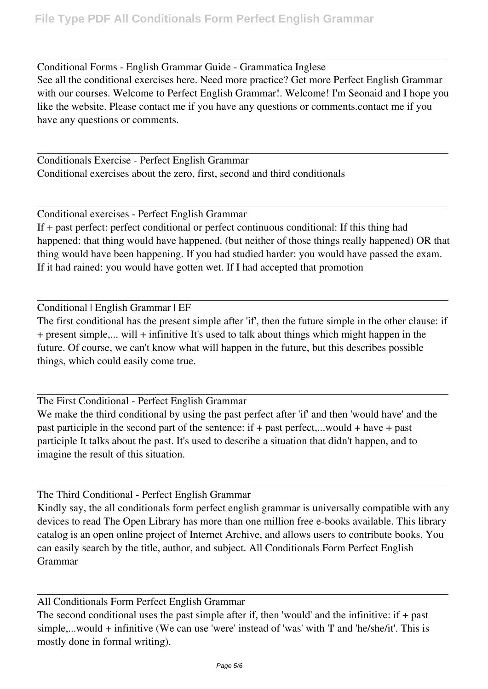Conditional Forms - English Grammar Guide - Grammatica Inglese See all the conditional exercises here. Need more practice? Get more Perfect English Grammar with our courses. Welcome to Perfect English Grammar!. Welcome! I'm Seonaid and I hope you like the website. Please contact me if you have any questions or comments.contact me if you have any questions or comments.

Conditionals Exercise - Perfect English Grammar Conditional exercises about the zero, first, second and third conditionals

Conditional exercises - Perfect English Grammar If + past perfect: perfect conditional or perfect continuous conditional: If this thing had happened: that thing would have happened. (but neither of those things really happened) OR that thing would have been happening. If you had studied harder: you would have passed the exam. If it had rained: you would have gotten wet. If I had accepted that promotion

Conditional | English Grammar | EF

The first conditional has the present simple after 'if', then the future simple in the other clause: if + present simple,... will + infinitive It's used to talk about things which might happen in the future. Of course, we can't know what will happen in the future, but this describes possible things, which could easily come true.

The First Conditional - Perfect English Grammar We make the third conditional by using the past perfect after 'if' and then 'would have' and the past participle in the second part of the sentence: if + past perfect,...would + have + past participle It talks about the past. It's used to describe a situation that didn't happen, and to imagine the result of this situation.

The Third Conditional - Perfect English Grammar

Kindly say, the all conditionals form perfect english grammar is universally compatible with any devices to read The Open Library has more than one million free e-books available. This library catalog is an open online project of Internet Archive, and allows users to contribute books. You can easily search by the title, author, and subject. All Conditionals Form Perfect English Grammar

All Conditionals Form Perfect English Grammar

The second conditional uses the past simple after if, then 'would' and the infinitive: if + past simple,...would + infinitive (We can use 'were' instead of 'was' with 'I' and 'he/she/it'. This is mostly done in formal writing).